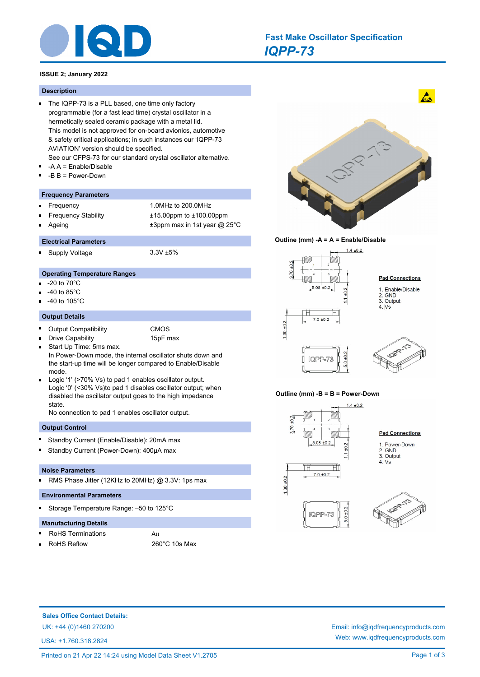

# *IQPP-73* **Fast Make Oscillator Specification**

## **ISSUE 2; January 2022**

#### **Description**

- The IQPP-73 is a PLL based, one time only factory programmable (for a fast lead time) crystal oscillator in a hermetically sealed ceramic package with a metal lid. This model is not approved for on-board avionics, automotive & safety critical applications; in such instances our 'IQPP-73 AVIATION' version should be specified.
	- See our CFPS-73 for our standard crystal oscillator alternative.
- -A A = Enable/Disable  $\blacksquare$
- -B B = Power-Down

#### **Frequency Parameters**

- Frequency 1.0MHz to 200.0MHz n
- Frequency Stability ±15.00ppm to ±100.00ppm
- Ageing  $\pm 3$ ppm max in 1st year @ 25°C

#### **Electrical Parameters**

Supply Voltage 3.3V ±5%

#### **Operating Temperature Ranges**

- -20 to 70°C
- -40 to 85°C
- -40 to 105°C

#### **Output Details**

 $\blacksquare$ 

- $\blacksquare$ Output Compatibility CMOS
	-
	- Drive Capability 15pF max
- Start Up Time: 5ms max.  $\blacksquare$ In Power-Down mode, the internal oscillator shuts down and the start-up time will be longer compared to Enable/Disable mode.
- Logic '1' (>70% Vs) to pad 1 enables oscillator output. Logic '0' (<30% Vs)to pad 1 disables oscillator output; when disabled the oscillator output goes to the high impedance state.

No connection to pad 1 enables oscillator output.

#### **Output Control**

- Standby Current (Enable/Disable): 20mA max
- Standby Current (Power-Down): 400µA max

#### **Noise Parameters**

RMS Phase Jitter (12KHz to 20MHz) @ 3.3V: 1ps max  $\blacksquare$ 

#### **Environmental Parameters**

Storage Temperature Range: –50 to 125°C n

#### **Manufacturing Details**

- RoHS Terminations Au
- 

RoHS Reflow 260°C 10s Max



 $\mathbf{A}$ 





#### **Outline (mm) -B = B = Power-Down**







**Sales Office Contact Details:**

USA: +1.760.318.2824

UK: +44 (0)1460 270200 Email: info@iqdfrequencyproducts.com Web: www.iqdfrequencyproducts.com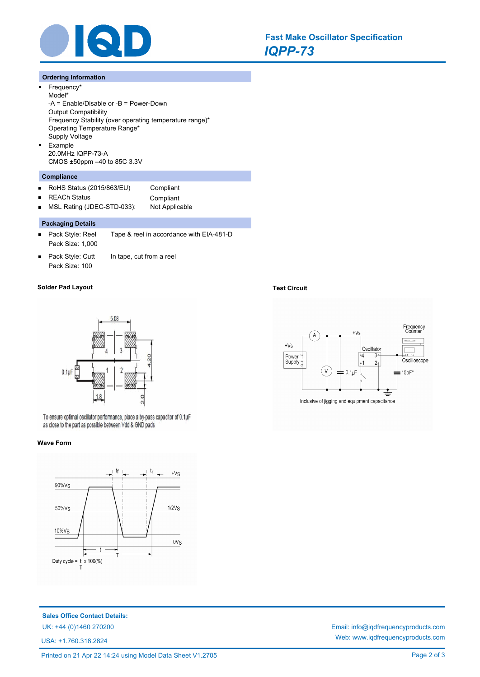

## **Ordering Information**

 $\blacksquare$ 

 $\blacksquare$ 

 $\blacksquare$ 

Frequency\* Model\* -A = Enable/Disable or -B = Power-Down Output Compatibility Frequency Stability (over operating temperature range)\* Operating Temperature Range\* Supply Voltage Example 20.0MHz IQPP-73-A CMOS ±50ppm –40 to 85C 3.3V

## **Compliance**

- RoHS Status (2015/863/EU) Compliant  $\blacksquare$
- $\blacksquare$

REACh Status **Compliant** MSL Rating (JDEC-STD-033): Not Applicable

## **Packaging Details**

- $\blacksquare$ Pack Style: Reel Tape & reel in accordance with EIA-481-D Pack Size: 1,000
- Pack Style: Cutt In tape, cut from a reel  $\blacksquare$ Pack Size: 100

### **Solder Pad Layout Test Circuit**



To ensure optimal oscillator performance, place a by-pass capacitor of 0.1µF as close to the part as possible between Vdd & GND pads

#### **Wave Form**



**Sales Office Contact Details:**

USA: +1.760.318.2824





UK: +44 (0)1460 270200 Email: info@iqdfrequencyproducts.com Web: www.iqdfrequencyproducts.com